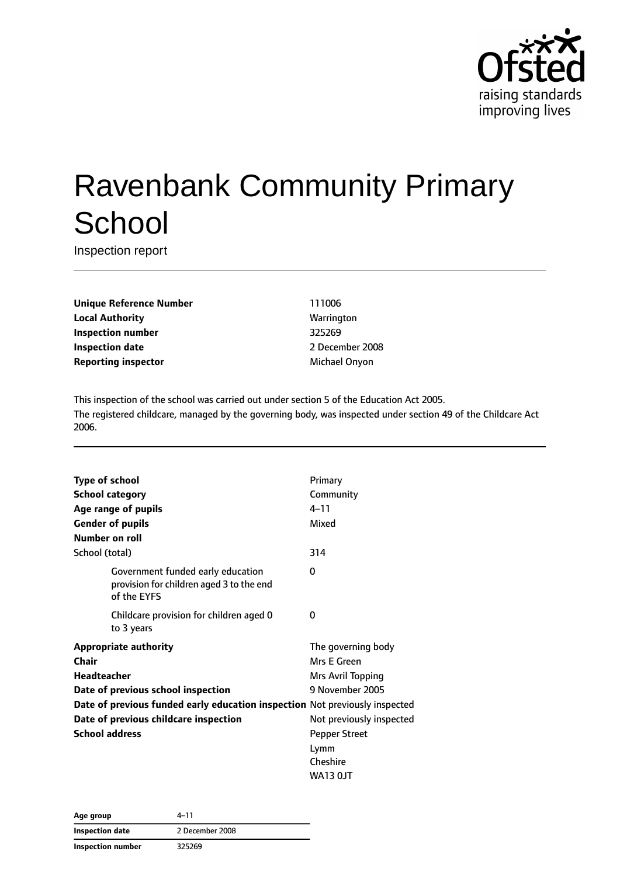

# Ravenbank Community Primary **School**

Inspection report

**Unique Reference Number** 111006 **Local Authority Warrington Inspection number** 325269 **Inspection date** 2008 **Reporting inspector and a matter of the Michael Onyon** 

This inspection of the school was carried out under section 5 of the Education Act 2005. The registered childcare, managed by the governing body, was inspected under section 49 of the Childcare Act 2006.

| <b>Type of school</b>                                                       |                                                                                              | Primary                  |  |
|-----------------------------------------------------------------------------|----------------------------------------------------------------------------------------------|--------------------------|--|
| <b>School category</b>                                                      |                                                                                              | Community                |  |
| Age range of pupils                                                         |                                                                                              | $4 - 11$                 |  |
| <b>Gender of pupils</b>                                                     |                                                                                              | Mixed                    |  |
| Number on roll                                                              |                                                                                              |                          |  |
| School (total)                                                              |                                                                                              | 314                      |  |
|                                                                             | Government funded early education<br>provision for children aged 3 to the end<br>of the EYFS | $\Omega$                 |  |
|                                                                             | Childcare provision for children aged 0<br>to 3 years                                        | 0                        |  |
| <b>Appropriate authority</b>                                                |                                                                                              | The governing body       |  |
| Chair                                                                       |                                                                                              | Mrs E Green              |  |
| <b>Headteacher</b>                                                          |                                                                                              | <b>Mrs Avril Topping</b> |  |
| Date of previous school inspection                                          |                                                                                              | 9 November 2005          |  |
| Date of previous funded early education inspection Not previously inspected |                                                                                              |                          |  |
| Date of previous childcare inspection                                       |                                                                                              | Not previously inspected |  |
| <b>School address</b>                                                       |                                                                                              | <b>Pepper Street</b>     |  |
|                                                                             |                                                                                              | Lymm                     |  |
|                                                                             |                                                                                              | Cheshire                 |  |
|                                                                             |                                                                                              | <b>WA13 OJT</b>          |  |

| Age group                | 4–11            |
|--------------------------|-----------------|
| <b>Inspection date</b>   | 2 December 2008 |
| <b>Inspection number</b> | 325269          |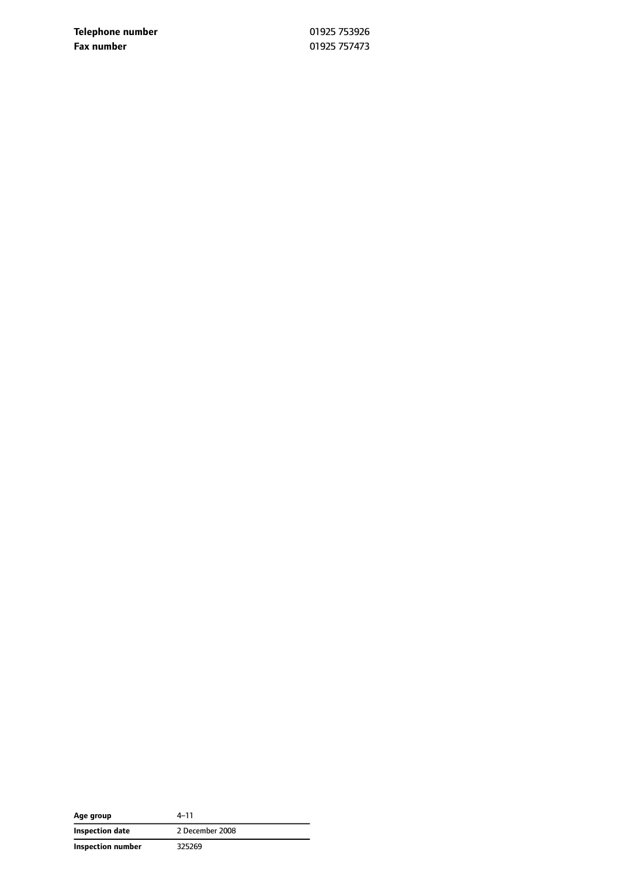**Telephone number** 01925 753926 **Fax number** 01925 757473

| Age group         | 4–11            |
|-------------------|-----------------|
| Inspection date   | 2 December 2008 |
| Inspection number | 325269          |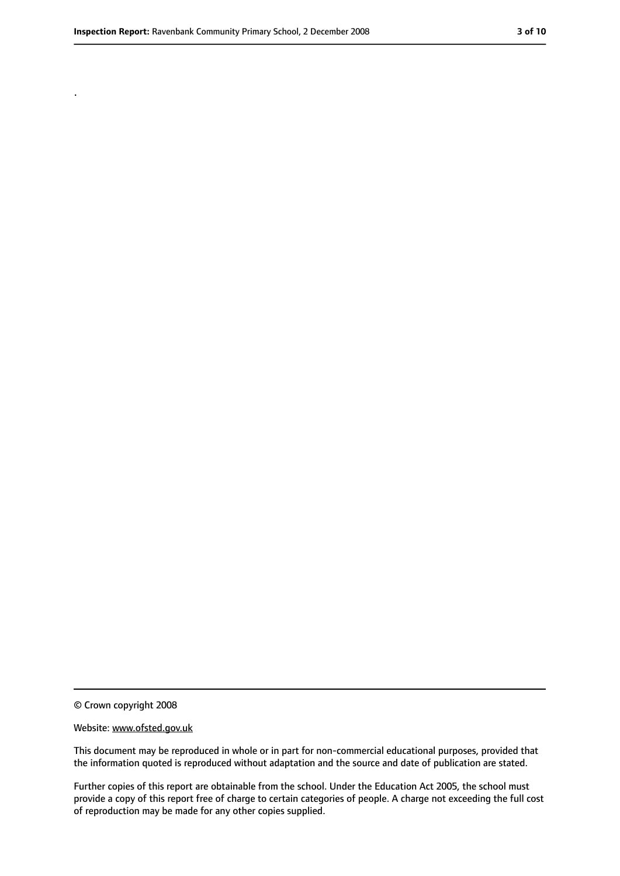.

#### Website: www.ofsted.gov.uk

This document may be reproduced in whole or in part for non-commercial educational purposes, provided that the information quoted is reproduced without adaptation and the source and date of publication are stated.

Further copies of this report are obtainable from the school. Under the Education Act 2005, the school must provide a copy of this report free of charge to certain categories of people. A charge not exceeding the full cost of reproduction may be made for any other copies supplied.

<sup>©</sup> Crown copyright 2008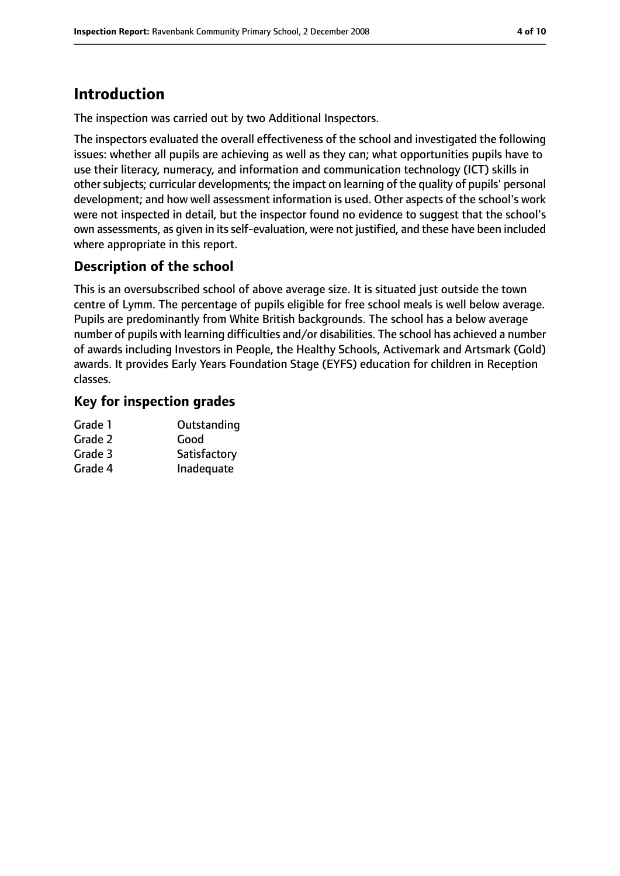## **Introduction**

The inspection was carried out by two Additional Inspectors.

The inspectors evaluated the overall effectiveness of the school and investigated the following issues: whether all pupils are achieving as well as they can; what opportunities pupils have to use their literacy, numeracy, and information and communication technology (ICT) skills in other subjects; curricular developments; the impact on learning of the quality of pupils' personal development; and how well assessment information is used. Other aspects of the school's work were not inspected in detail, but the inspector found no evidence to suggest that the school's own assessments, as given in its self-evaluation, were not justified, and these have been included where appropriate in this report.

### **Description of the school**

This is an oversubscribed school of above average size. It is situated just outside the town centre of Lymm. The percentage of pupils eligible for free school meals is well below average. Pupils are predominantly from White British backgrounds. The school has a below average number of pupils with learning difficulties and/or disabilities. The school has achieved a number of awards including Investors in People, the Healthy Schools, Activemark and Artsmark (Gold) awards. It provides Early Years Foundation Stage (EYFS) education for children in Reception classes.

### **Key for inspection grades**

| Outstanding  |
|--------------|
| Good         |
| Satisfactory |
| Inadequate   |
|              |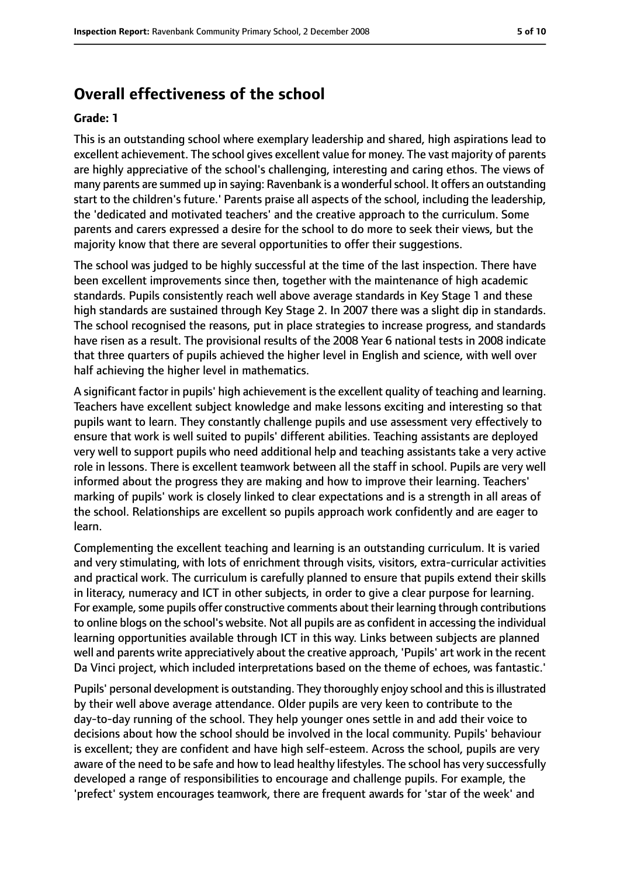### **Overall effectiveness of the school**

#### **Grade: 1**

This is an outstanding school where exemplary leadership and shared, high aspirations lead to excellent achievement. The school gives excellent value for money. The vast majority of parents are highly appreciative of the school's challenging, interesting and caring ethos. The views of many parents are summed up in saying: Ravenbank is a wonderful school. It offers an outstanding start to the children's future.' Parents praise all aspects of the school, including the leadership, the 'dedicated and motivated teachers' and the creative approach to the curriculum. Some parents and carers expressed a desire for the school to do more to seek their views, but the majority know that there are several opportunities to offer their suggestions.

The school was judged to be highly successful at the time of the last inspection. There have been excellent improvements since then, together with the maintenance of high academic standards. Pupils consistently reach well above average standards in Key Stage 1 and these high standards are sustained through Key Stage 2. In 2007 there was a slight dip in standards. The school recognised the reasons, put in place strategies to increase progress, and standards have risen as a result. The provisional results of the 2008 Year 6 national tests in 2008 indicate that three quarters of pupils achieved the higher level in English and science, with well over half achieving the higher level in mathematics.

A significant factor in pupils' high achievement is the excellent quality of teaching and learning. Teachers have excellent subject knowledge and make lessons exciting and interesting so that pupils want to learn. They constantly challenge pupils and use assessment very effectively to ensure that work is well suited to pupils' different abilities. Teaching assistants are deployed very well to support pupils who need additional help and teaching assistants take a very active role in lessons. There is excellent teamwork between all the staff in school. Pupils are very well informed about the progress they are making and how to improve their learning. Teachers' marking of pupils' work is closely linked to clear expectations and is a strength in all areas of the school. Relationships are excellent so pupils approach work confidently and are eager to learn.

Complementing the excellent teaching and learning is an outstanding curriculum. It is varied and very stimulating, with lots of enrichment through visits, visitors, extra-curricular activities and practical work. The curriculum is carefully planned to ensure that pupils extend their skills in literacy, numeracy and ICT in other subjects, in order to give a clear purpose for learning. For example, some pupils offer constructive comments about their learning through contributions to online blogs on the school's website. Not all pupils are as confident in accessing the individual learning opportunities available through ICT in this way. Links between subjects are planned well and parents write appreciatively about the creative approach, 'Pupils' art work in the recent Da Vinci project, which included interpretations based on the theme of echoes, was fantastic.'

Pupils' personal development is outstanding. They thoroughly enjoy school and this is illustrated by their well above average attendance. Older pupils are very keen to contribute to the day-to-day running of the school. They help younger ones settle in and add their voice to decisions about how the school should be involved in the local community. Pupils' behaviour is excellent; they are confident and have high self-esteem. Across the school, pupils are very aware of the need to be safe and how to lead healthy lifestyles. The school has very successfully developed a range of responsibilities to encourage and challenge pupils. For example, the 'prefect' system encourages teamwork, there are frequent awards for 'star of the week' and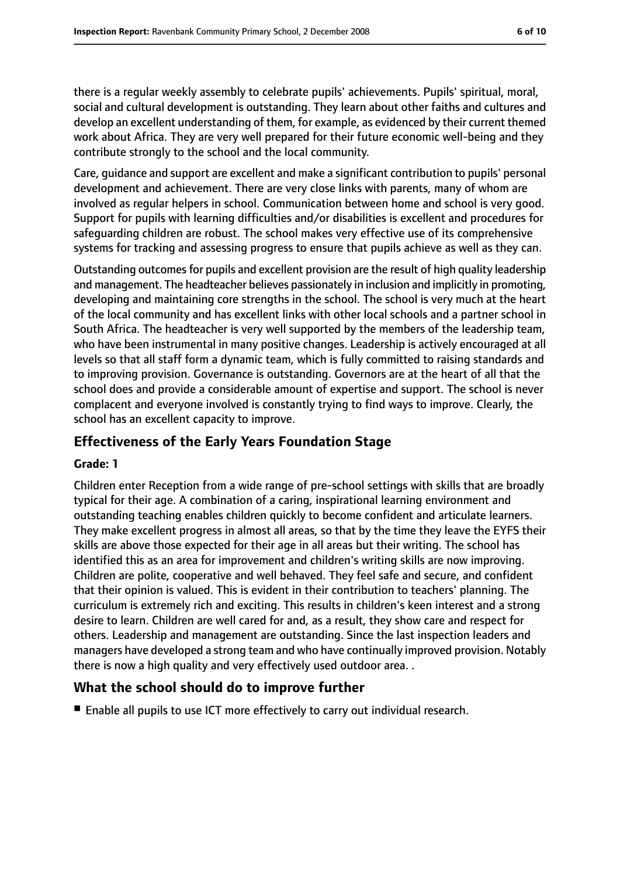there is a regular weekly assembly to celebrate pupils' achievements. Pupils' spiritual, moral, social and cultural development is outstanding. They learn about other faiths and cultures and develop an excellent understanding of them, for example, as evidenced by their current themed work about Africa. They are very well prepared for their future economic well-being and they contribute strongly to the school and the local community.

Care, guidance and support are excellent and make a significant contribution to pupils' personal development and achievement. There are very close links with parents, many of whom are involved as regular helpers in school. Communication between home and school is very good. Support for pupils with learning difficulties and/or disabilities is excellent and procedures for safeguarding children are robust. The school makes very effective use of its comprehensive systems for tracking and assessing progress to ensure that pupils achieve as well as they can.

Outstanding outcomes for pupils and excellent provision are the result of high quality leadership and management. The headteacher believes passionately in inclusion and implicitly in promoting, developing and maintaining core strengths in the school. The school is very much at the heart of the local community and has excellent links with other local schools and a partner school in South Africa. The headteacher is very well supported by the members of the leadership team, who have been instrumental in many positive changes. Leadership is actively encouraged at all levels so that all staff form a dynamic team, which is fully committed to raising standards and to improving provision. Governance is outstanding. Governors are at the heart of all that the school does and provide a considerable amount of expertise and support. The school is never complacent and everyone involved is constantly trying to find ways to improve. Clearly, the school has an excellent capacity to improve.

### **Effectiveness of the Early Years Foundation Stage**

### **Grade: 1**

Children enter Reception from a wide range of pre-school settings with skills that are broadly typical for their age. A combination of a caring, inspirational learning environment and outstanding teaching enables children quickly to become confident and articulate learners. They make excellent progress in almost all areas, so that by the time they leave the EYFS their skills are above those expected for their age in all areas but their writing. The school has identified this as an area for improvement and children's writing skills are now improving. Children are polite, cooperative and well behaved. They feel safe and secure, and confident that their opinion is valued. This is evident in their contribution to teachers' planning. The curriculum is extremely rich and exciting. This results in children's keen interest and a strong desire to learn. Children are well cared for and, as a result, they show care and respect for others. Leadership and management are outstanding. Since the last inspection leaders and managers have developed a strong team and who have continually improved provision. Notably there is now a high quality and very effectively used outdoor area. .

### **What the school should do to improve further**

■ Enable all pupils to use ICT more effectively to carry out individual research.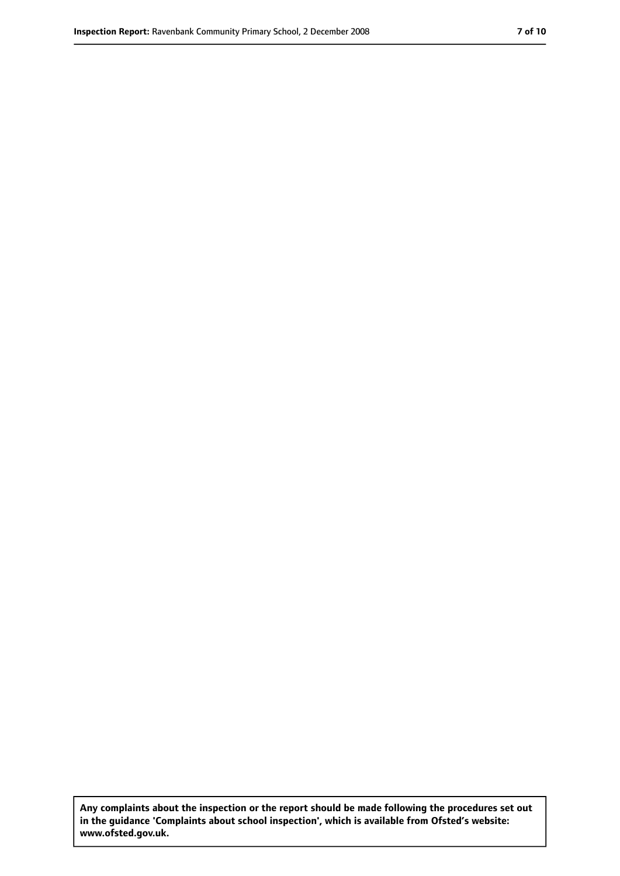**Any complaints about the inspection or the report should be made following the procedures set out in the guidance 'Complaints about school inspection', which is available from Ofsted's website: www.ofsted.gov.uk.**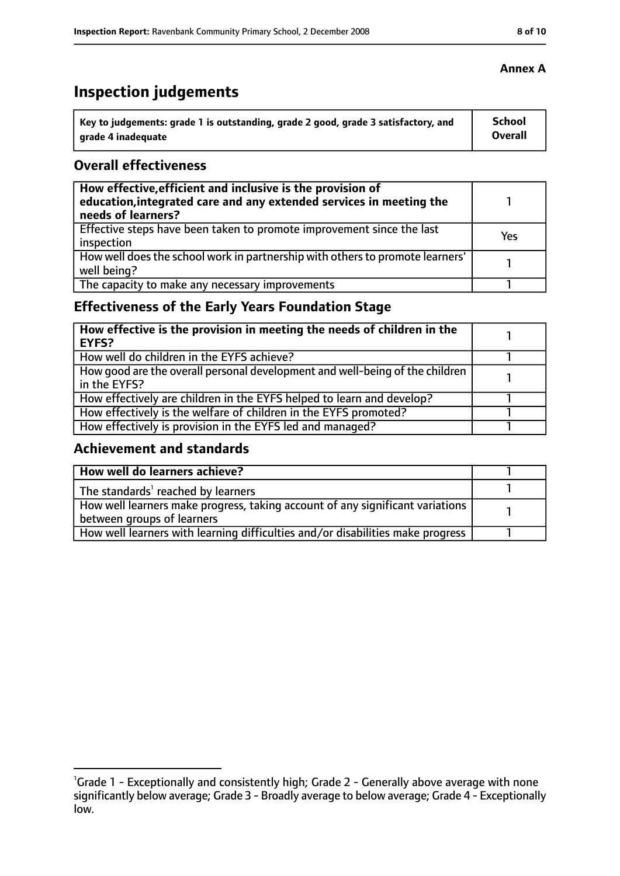# **Inspection judgements**

| Key to judgements: grade 1 is outstanding, grade 2 good, grade 3 satisfactory, and | <b>School</b> |
|------------------------------------------------------------------------------------|---------------|
| arade 4 inadequate                                                                 | Overall       |

### **Overall effectiveness**

| How effective, efficient and inclusive is the provision of<br>education, integrated care and any extended services in meeting the<br>needs of learners? |     |
|---------------------------------------------------------------------------------------------------------------------------------------------------------|-----|
| Effective steps have been taken to promote improvement since the last<br>inspection                                                                     | Yes |
| How well does the school work in partnership with others to promote learners'<br>well being?                                                            |     |
| The capacity to make any necessary improvements                                                                                                         |     |

### **Effectiveness of the Early Years Foundation Stage**

| How effective is the provision in meeting the needs of children in the<br>EYFS?              |  |
|----------------------------------------------------------------------------------------------|--|
| How well do children in the EYFS achieve?                                                    |  |
| How good are the overall personal development and well-being of the children<br>in the EYFS? |  |
| How effectively are children in the EYFS helped to learn and develop?                        |  |
| How effectively is the welfare of children in the EYFS promoted?                             |  |
| How effectively is provision in the EYFS led and managed?                                    |  |

### **Achievement and standards**

| How well do learners achieve?                                                  |  |
|--------------------------------------------------------------------------------|--|
| The standards <sup>1</sup> reached by learners                                 |  |
| How well learners make progress, taking account of any significant variations  |  |
| between groups of learners                                                     |  |
| How well learners with learning difficulties and/or disabilities make progress |  |

### **Annex A**

<sup>&</sup>lt;sup>1</sup>Grade 1 - Exceptionally and consistently high; Grade 2 - Generally above average with none significantly below average; Grade 3 - Broadly average to below average; Grade 4 - Exceptionally low.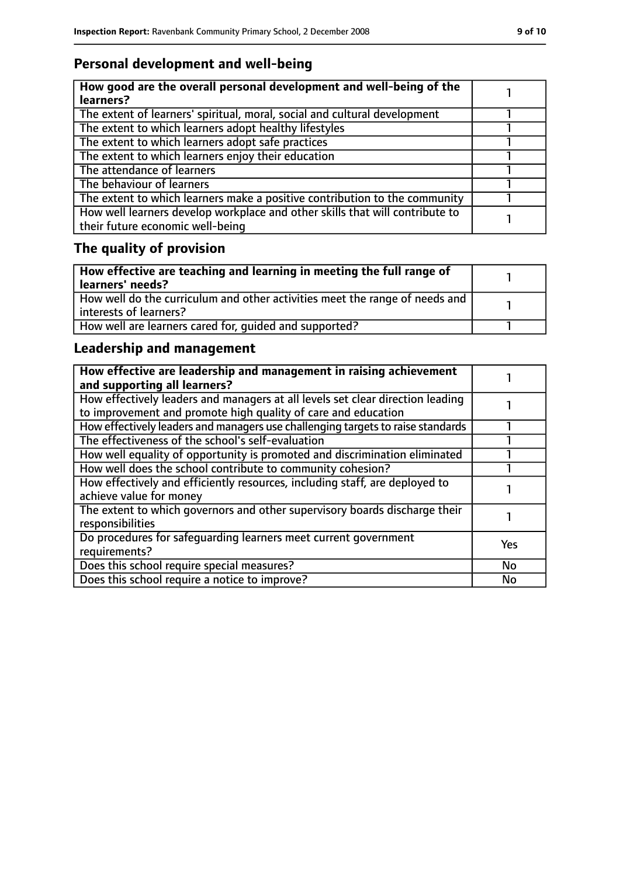### **Personal development and well-being**

| How good are the overall personal development and well-being of the<br>learners?                                 |  |
|------------------------------------------------------------------------------------------------------------------|--|
| The extent of learners' spiritual, moral, social and cultural development                                        |  |
| The extent to which learners adopt healthy lifestyles                                                            |  |
| The extent to which learners adopt safe practices                                                                |  |
| The extent to which learners enjoy their education                                                               |  |
| The attendance of learners                                                                                       |  |
| The behaviour of learners                                                                                        |  |
| The extent to which learners make a positive contribution to the community                                       |  |
| How well learners develop workplace and other skills that will contribute to<br>their future economic well-being |  |

# **The quality of provision**

| How effective are teaching and learning in meeting the full range of<br>learners' needs?              |  |
|-------------------------------------------------------------------------------------------------------|--|
| How well do the curriculum and other activities meet the range of needs and<br>interests of learners? |  |
| How well are learners cared for, quided and supported?                                                |  |

### **Leadership and management**

| How effective are leadership and management in raising achievement<br>and supporting all learners?                                              |            |
|-------------------------------------------------------------------------------------------------------------------------------------------------|------------|
| How effectively leaders and managers at all levels set clear direction leading<br>to improvement and promote high quality of care and education |            |
| How effectively leaders and managers use challenging targets to raise standards                                                                 |            |
| The effectiveness of the school's self-evaluation                                                                                               |            |
| How well equality of opportunity is promoted and discrimination eliminated                                                                      |            |
| How well does the school contribute to community cohesion?                                                                                      |            |
| How effectively and efficiently resources, including staff, are deployed to<br>achieve value for money                                          |            |
| The extent to which governors and other supervisory boards discharge their<br>responsibilities                                                  |            |
| Do procedures for safequarding learners meet current government<br>requirements?                                                                | <b>Yes</b> |
| Does this school require special measures?                                                                                                      | No         |
| Does this school require a notice to improve?                                                                                                   | No         |